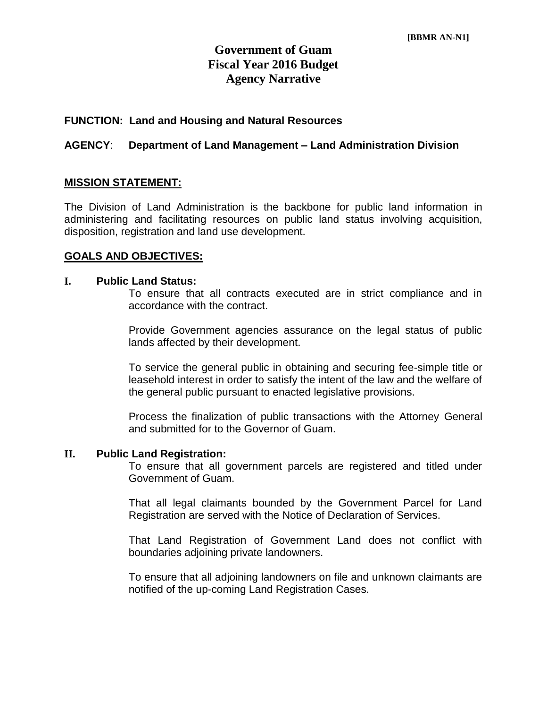# **Government of Guam Fiscal Year 2016 Budget Agency Narrative**

## **FUNCTION: Land and Housing and Natural Resources**

## **AGENCY**: **Department of Land Management – Land Administration Division**

## **MISSION STATEMENT:**

The Division of Land Administration is the backbone for public land information in administering and facilitating resources on public land status involving acquisition, disposition, registration and land use development.

#### **GOALS AND OBJECTIVES:**

#### **I. Public Land Status:**

To ensure that all contracts executed are in strict compliance and in accordance with the contract.

Provide Government agencies assurance on the legal status of public lands affected by their development.

To service the general public in obtaining and securing fee-simple title or leasehold interest in order to satisfy the intent of the law and the welfare of the general public pursuant to enacted legislative provisions.

Process the finalization of public transactions with the Attorney General and submitted for to the Governor of Guam.

#### **II. Public Land Registration:**

To ensure that all government parcels are registered and titled under Government of Guam.

That all legal claimants bounded by the Government Parcel for Land Registration are served with the Notice of Declaration of Services.

That Land Registration of Government Land does not conflict with boundaries adjoining private landowners.

To ensure that all adjoining landowners on file and unknown claimants are notified of the up-coming Land Registration Cases.